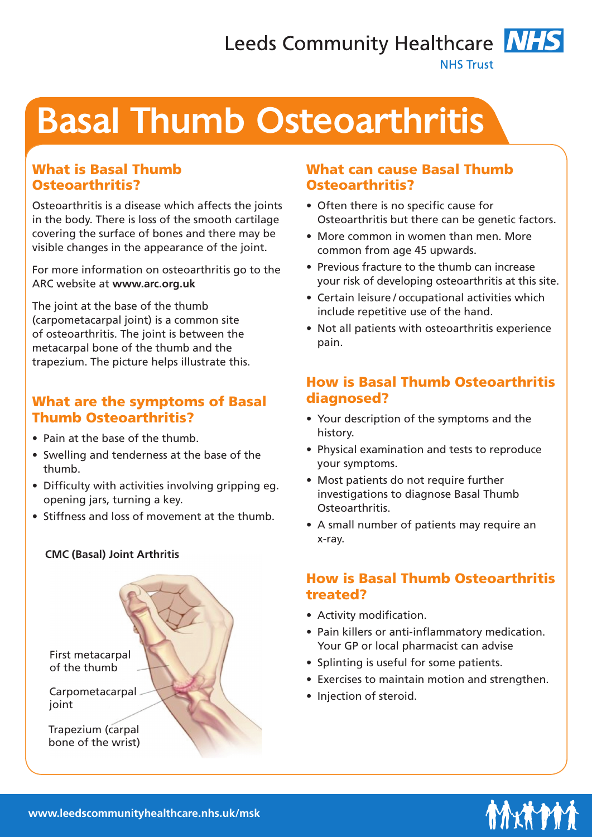# Leeds Community Healthcare **NHS NHS Trust**

# Basal Thumb Osteoarthritis

# What is Basal Thumb Osteoarthritis?

Osteoarthritis is a disease which affects the joints in the body. There is loss of the smooth cartilage covering the surface of bones and there may be visible changes in the appearance of the joint.

For more information on osteoarthritis go to the ARC website at **www.arc.org.uk**

The joint at the base of the thumb (carpometacarpal joint) is a common site of osteoarthritis. The joint is between the metacarpal bone of the thumb and the trapezium. The picture helps illustrate this.

## What are the symptoms of Basal Thumb Osteoarthritis?

- Pain at the base of the thumb.
- Swelling and tenderness at the base of the thumb.
- Difficulty with activities involving gripping eg. opening jars, turning a key.
- Stiffness and loss of movement at the thumb.

#### **CMC (Basal) Joint Arthritis**



#### What can cause Basal Thumb Osteoarthritis?

- Often there is no specific cause for Osteoarthritis but there can be genetic factors.
- More common in women than men. More common from age 45 upwards.
- Previous fracture to the thumb can increase your risk of developing osteoarthritis at this site.
- Certain leisure / occupational activities which include repetitive use of the hand.
- Not all patients with osteoarthritis experience pain.

# How is Basal Thumb Osteoarthritis diagnosed?

- Your description of the symptoms and the history.
- Physical examination and tests to reproduce your symptoms.
- Most patients do not require further investigations to diagnose Basal Thumb Osteoarthritis.
- A small number of patients may require an x-ray.

# How is Basal Thumb Osteoarthritis treated?

- Activity modification.
- Pain killers or anti-inflammatory medication. Your GP or local pharmacist can advise
- Splinting is useful for some patients.
- Exercises to maintain motion and strengthen.
- Injection of steroid.